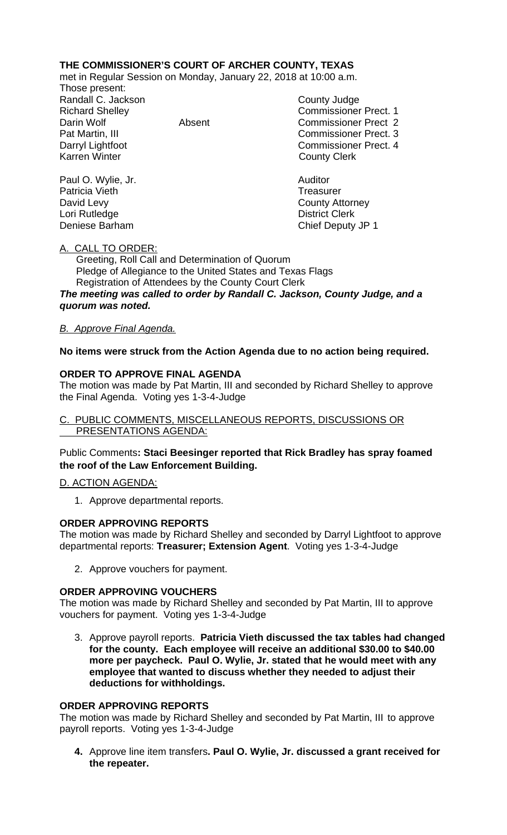# **THE COMMISSIONER'S COURT OF ARCHER COUNTY, TEXAS**

met in Regular Session on Monday, January 22, 2018 at 10:00 a.m.

Those present: Randall C. Jackson County Judge

Paul O. Wylie, Jr. **Auditor Paul O. Wylie, Jr. Auditor** Patricia Vieth **Treasurer Treasurer** David Levy **County Attorney** Lori Rutledge **District Clerk** 

Richard Shelley Commissioner Prect. 1 Darin Wolf Absent Commissioner Prect 2 Pat Martin, III Commissioner Prect. 3 Darryl Lightfoot **Commissioner Prect. 4**<br>
Karren Winter **County County Clerk County Clerk** 

Deniese Barham Chief Deputy JP 1

### A. CALL TO ORDER:

 Greeting, Roll Call and Determination of Quorum Pledge of Allegiance to the United States and Texas Flags Registration of Attendees by the County Court Clerk

*The meeting was called to order by Randall C. Jackson, County Judge, and a quorum was noted.*

### *B. Approve Final Agenda.*

### **No items were struck from the Action Agenda due to no action being required.**

### **ORDER TO APPROVE FINAL AGENDA**

The motion was made by Pat Martin, III and seconded by Richard Shelley to approve the Final Agenda. Voting yes 1-3-4-Judge

### C. PUBLIC COMMENTS, MISCELLANEOUS REPORTS, DISCUSSIONS OR PRESENTATIONS AGENDA:

### Public Comments**: Staci Beesinger reported that Rick Bradley has spray foamed the roof of the Law Enforcement Building.**

#### D. ACTION AGENDA:

1. Approve departmental reports.

#### **ORDER APPROVING REPORTS**

The motion was made by Richard Shelley and seconded by Darryl Lightfoot to approve departmental reports: **Treasurer; Extension Agent**. Voting yes 1-3-4-Judge

2. Approve vouchers for payment.

#### **ORDER APPROVING VOUCHERS**

The motion was made by Richard Shelley and seconded by Pat Martin, III to approve vouchers for payment. Voting yes 1-3-4-Judge

3. Approve payroll reports. **Patricia Vieth discussed the tax tables had changed for the county. Each employee will receive an additional \$30.00 to \$40.00 more per paycheck. Paul O. Wylie, Jr. stated that he would meet with any employee that wanted to discuss whether they needed to adjust their deductions for withholdings.**

#### **ORDER APPROVING REPORTS**

The motion was made by Richard Shelley and seconded by Pat Martin, III to approve payroll reports. Voting yes 1-3-4-Judge

**4.** Approve line item transfers**. Paul O. Wylie, Jr. discussed a grant received for the repeater.**